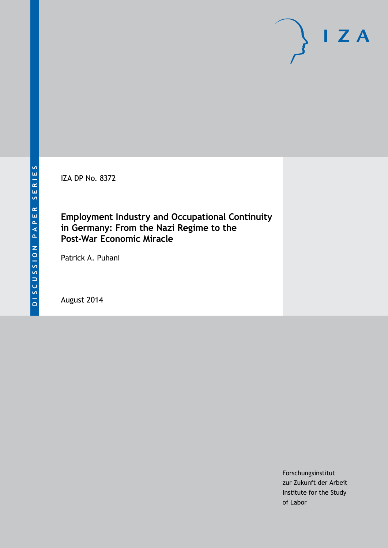IZA DP No. 8372

# **Employment Industry and Occupational Continuity in Germany: From the Nazi Regime to the Post-War Economic Miracle**

Patrick A. Puhani

August 2014

Forschungsinstitut zur Zukunft der Arbeit Institute for the Study of Labor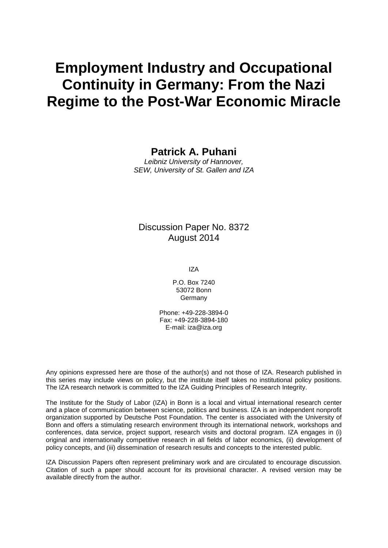# **Employment Industry and Occupational Continuity in Germany: From the Nazi Regime to the Post-War Economic Miracle**

**Patrick A. Puhani**

*Leibniz University of Hannover, SEW, University of St. Gallen and IZA*

### Discussion Paper No. 8372 August 2014

IZA

P.O. Box 7240 53072 Bonn Germany

Phone: +49-228-3894-0 Fax: +49-228-3894-180 E-mail: [iza@iza.org](mailto:iza@iza.org)

Any opinions expressed here are those of the author(s) and not those of IZA. Research published in this series may include views on policy, but the institute itself takes no institutional policy positions. The IZA research network is committed to the IZA Guiding Principles of Research Integrity.

The Institute for the Study of Labor (IZA) in Bonn is a local and virtual international research center and a place of communication between science, politics and business. IZA is an independent nonprofit organization supported by Deutsche Post Foundation. The center is associated with the University of Bonn and offers a stimulating research environment through its international network, workshops and conferences, data service, project support, research visits and doctoral program. IZA engages in (i) original and internationally competitive research in all fields of labor economics, (ii) development of policy concepts, and (iii) dissemination of research results and concepts to the interested public.

<span id="page-1-0"></span>IZA Discussion Papers often represent preliminary work and are circulated to encourage discussion. Citation of such a paper should account for its provisional character. A revised version may be available directly from the author.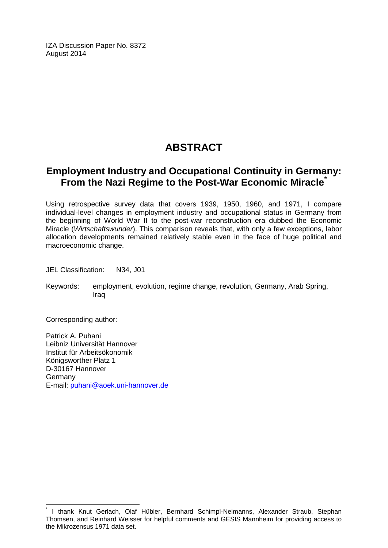IZA Discussion Paper No. 8372 August 2014

# **ABSTRACT**

# **Employment Industry and Occupational Continuity in Germany: From the Nazi Regime to the Post-War Economic Miracle[\\*](#page-1-0)**

Using retrospective survey data that covers 1939, 1950, 1960, and 1971, I compare individual-level changes in employment industry and occupational status in Germany from the beginning of World War II to the post-war reconstruction era dubbed the Economic Miracle (*Wirtschaftswunder*). This comparison reveals that, with only a few exceptions, labor allocation developments remained relatively stable even in the face of huge political and macroeconomic change.

JEL Classification: N34, J01

Keywords: employment, evolution, regime change, revolution, Germany, Arab Spring, Iraq

Corresponding author:

Patrick A. Puhani Leibniz Universität Hannover Institut für Arbeitsökonomik Königsworther Platz 1 D-30167 Hannover Germany E-mail: [puhani@aoek.uni-hannover.de](mailto:puhani@aoek.uni-hannover.de)

I thank Knut Gerlach, Olaf Hübler, Bernhard Schimpl-Neimanns, Alexander Straub, Stephan Thomsen, and Reinhard Weisser for helpful comments and GESIS Mannheim for providing access to the Mikrozensus 1971 data set.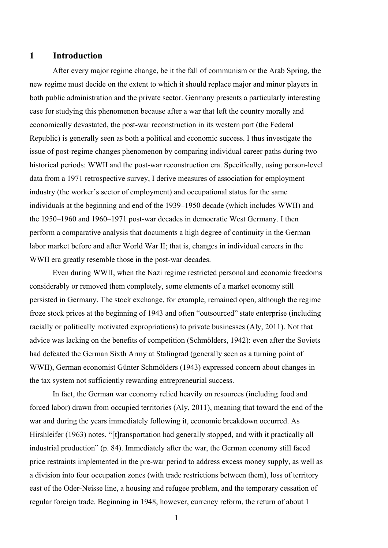#### **1 Introduction**

After every major regime change, be it the fall of communism or the Arab Spring, the new regime must decide on the extent to which it should replace major and minor players in both public administration and the private sector. Germany presents a particularly interesting case for studying this phenomenon because after a war that left the country morally and economically devastated, the post-war reconstruction in its western part (the Federal Republic) is generally seen as both a political and economic success. I thus investigate the issue of post-regime changes phenomenon by comparing individual career paths during two historical periods: WWII and the post-war reconstruction era. Specifically, using person-level data from a 1971 retrospective survey, I derive measures of association for employment industry (the worker's sector of employment) and occupational status for the same individuals at the beginning and end of the 1939–1950 decade (which includes WWII) and the 1950–1960 and 1960–1971 post-war decades in democratic West Germany. I then perform a comparative analysis that documents a high degree of continuity in the German labor market before and after World War II; that is, changes in individual careers in the WWII era greatly resemble those in the post-war decades.

Even during WWII, when the Nazi regime restricted personal and economic freedoms considerably or removed them completely, some elements of a market economy still persisted in Germany. The stock exchange, for example, remained open, although the regime froze stock prices at the beginning of 1943 and often "outsourced" state enterprise (including racially or politically motivated expropriations) to private businesses (Aly, 2011). Not that advice was lacking on the benefits of competition (Schmölders, 1942): even after the Soviets had defeated the German Sixth Army at Stalingrad (generally seen as a turning point of WWII), German economist Günter Schmölders (1943) expressed concern about changes in the tax system not sufficiently rewarding entrepreneurial success.

In fact, the German war economy relied heavily on resources (including food and forced labor) drawn from occupied territories (Aly, 2011), meaning that toward the end of the war and during the years immediately following it, economic breakdown occurred. As Hirshleifer (1963) notes, "[t]ransportation had generally stopped, and with it practically all industrial production" (p. 84). Immediately after the war, the German economy still faced price restraints implemented in the pre-war period to address excess money supply, as well as a division into four occupation zones (with trade restrictions between them), loss of territory east of the Oder-Neisse line, a housing and refugee problem, and the temporary cessation of regular foreign trade. Beginning in 1948, however, currency reform, the return of about 1

1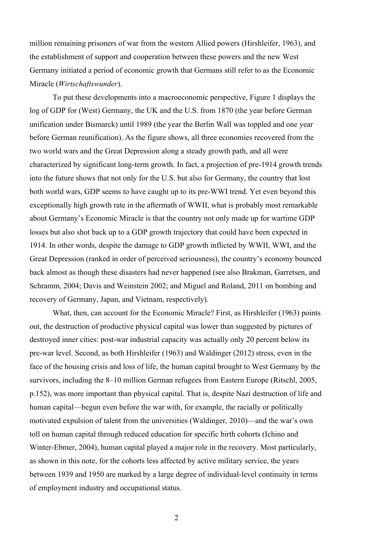million remaining prisoners of war from the western Allied powers (Hirshleifer, 1963), and the establishment of support and cooperation between these powers and the new West Germany initiated a period of economic growth that Germans still refer to as the Economic Miracle (*Wirtschaftswunder*).

To put these developments into a macroeconomic perspective, Figure 1 displays the log of GDP for (West) Germany, the UK and the U.S. from 1870 (the year before German unification under Bismarck) until 1989 (the year the Berlin Wall was toppled and one year before German reunification). As the figure shows, all three economies recovered from the two world wars and the Great Depression along a steady growth path, and all were characterized by significant long-term growth. In fact, a projection of pre-1914 growth trends into the future shows that not only for the U.S. but also for Germany, the country that lost both world wars, GDP seems to have caught up to its pre-WWI trend. Yet even beyond this exceptionally high growth rate in the aftermath of WWII, what is probably most remarkable about Germany's Economic Miracle is that the country not only made up for wartime GDP losses but also shot back up to a GDP growth trajectory that could have been expected in 1914. In other words, despite the damage to GDP growth inflicted by WWII, WWI, and the Great Depression (ranked in order of perceived seriousness), the country's economy bounced back almost as though these disasters had never happened (see also Brakman, Garretsen, and Schramm, 2004; Davis and Weinstein 2002; and Miguel and Roland, 2011 on bombing and recovery of Germany, Japan, and Vietnam, respectively).

What, then, can account for the Economic Miracle? First, as Hirshleifer (1963) points out, the destruction of productive physical capital was lower than suggested by pictures of destroyed inner cities: post-war industrial capacity was actually only 20 percent below its pre-war level. Second, as both Hirshleifer (1963) and Waldinger (2012) stress, even in the face of the housing crisis and loss of life, the human capital brought to West Germany by the survivors, including the 8–10 million German refugees from Eastern Europe (Ritschl, 2005, p.152), was more important than physical capital. That is, despite Nazi destruction of life and human capital—begun even before the war with, for example, the racially or politically motivated expulsion of talent from the universities (Waldinger, 2010)—and the war's own toll on human capital through reduced education for specific birth cohorts (Ichino and Winter-Ebmer, 2004), human capital played a major role in the recovery. Most particularly, as shown in this note, for the cohorts less affected by active military service, the years between 1939 and 1950 are marked by a large degree of individual-level continuity in terms of employment industry and occupational status.

2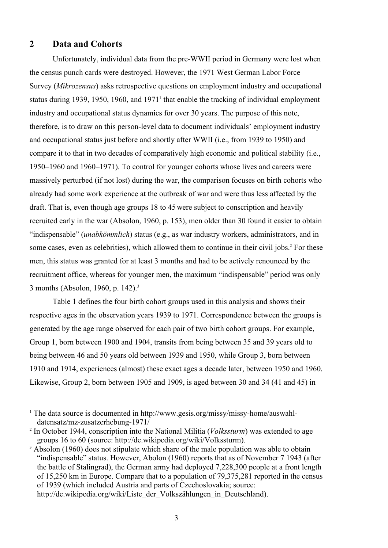### **2 Data and Cohorts**

Unfortunately, individual data from the pre-WWII period in Germany were lost when the census punch cards were destroyed. However, the 1971 West German Labor Force Survey (*Mikrozensus*) asks retrospective questions on employment industry and occupational status during 1939, 1950, 1960, and  $1971<sup>1</sup>$  that enable the tracking of individual employment industry and occupational status dynamics for over 30 years. The purpose of this note, therefore, is to draw on this person-level data to document individuals' employment industry and occupational status just before and shortly after WWII (i.e., from 1939 to 1950) and compare it to that in two decades of comparatively high economic and political stability (i.e., 1950–1960 and 1960–1971). To control for younger cohorts whose lives and careers were massively perturbed (if not lost) during the war, the comparison focuses on birth cohorts who already had some work experience at the outbreak of war and were thus less affected by the draft. That is, even though age groups 18 to 45were subject to conscription and heavily recruited early in the war (Absolon, 1960, p. 153), men older than 30 found it easier to obtain "indispensable" (*unabkömmlich*) status (e.g., as war industry workers, administrators, and in some cases, even as celebrities), which allowed them to continue in their civil jobs. <sup>2</sup> For these men, this status was granted for at least 3 months and had to be actively renounced by the recruitment office, whereas for younger men, the maximum "indispensable" period was only 3 months (Absolon, 1960, p. 142).3

Table 1 defines the four birth cohort groups used in this analysis and shows their respective ages in the observation years 1939 to 1971. Correspondence between the groups is generated by the age range observed for each pair of two birth cohort groups. For example, Group 1, born between 1900 and 1904, transits from being between 35 and 39 years old to being between 46 and 50 years old between 1939 and 1950, while Group 3, born between 1910 and 1914, experiences (almost) these exact ages a decade later, between 1950 and 1960. Likewise, Group 2, born between 1905 and 1909, is aged between 30 and 34 (41 and 45) in

<sup>&</sup>lt;sup>1</sup> The data source is documented in http://www.gesis.org/missy/missy-home/auswahldatensatz/mz-zusatzerhebung-1971/

<sup>2</sup> In October 1944, conscription into the National Militia (*Volkssturm*) was extended to age groups 16 to 60 (source: http://de.wikipedia.org/wiki/Volkssturm).

<sup>&</sup>lt;sup>3</sup> Absolon (1960) does not stipulate which share of the male population was able to obtain "indispensable" status. However, Abolon (1960) reports that as of November 7 1943 (after the battle of Stalingrad), the German army had deployed 7,228,300 people at a front length of 15,250 km in Europe. Compare that to a population of 79,375,281 reported in the census of 1939 (which included Austria and parts of Czechoslovakia; source: http://de.wikipedia.org/wiki/Liste\_der\_Volkszählungen\_in\_Deutschland).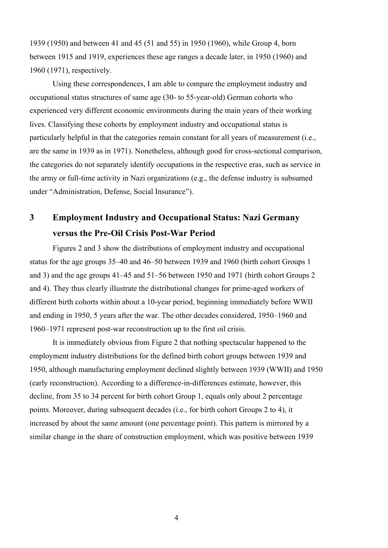1939 (1950) and between 41 and 45 (51 and 55) in 1950 (1960), while Group 4, born between 1915 and 1919, experiences these age ranges a decade later, in 1950 (1960) and 1960 (1971), respectively.

Using these correspondences, I am able to compare the employment industry and occupational status structures of same age (30- to 55-year-old) German cohorts who experienced very different economic environments during the main years of their working lives. Classifying these cohorts by employment industry and occupational status is particularly helpful in that the categories remain constant for all years of measurement (i.e., are the same in 1939 as in 1971). Nonetheless, although good for cross-sectional comparison, the categories do not separately identify occupations in the respective eras, such as service in the army or full-time activity in Nazi organizations (e.g., the defense industry is subsumed under "Administration, Defense, Social Insurance").

# **3 Employment Industry and Occupational Status: Nazi Germany versus the Pre-Oil Crisis Post-War Period**

Figures 2 and 3 show the distributions of employment industry and occupational status for the age groups 35–40 and 46–50 between 1939 and 1960 (birth cohort Groups 1 and 3) and the age groups 41–45 and 51–56 between 1950 and 1971 (birth cohort Groups 2 and 4). They thus clearly illustrate the distributional changes for prime-aged workers of different birth cohorts within about a 10-year period, beginning immediately before WWII and ending in 1950, 5 years after the war. The other decades considered, 1950–1960 and 1960–1971 represent post-war reconstruction up to the first oil crisis.

It is immediately obvious from Figure 2 that nothing spectacular happened to the employment industry distributions for the defined birth cohort groups between 1939 and 1950, although manufacturing employment declined slightly between 1939 (WWII) and 1950 (early reconstruction). According to a difference-in-differences estimate, however, this decline, from 35 to 34 percent for birth cohort Group 1, equals only about 2 percentage points. Moreover, during subsequent decades (i.e., for birth cohort Groups 2 to 4), it increased by about the same amount (one percentage point). This pattern is mirrored by a similar change in the share of construction employment, which was positive between 1939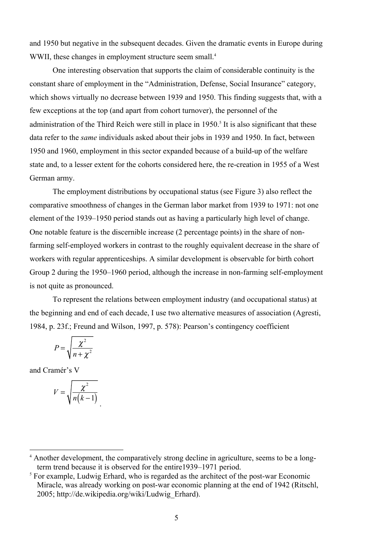and 1950 but negative in the subsequent decades. Given the dramatic events in Europe during WWII, these changes in employment structure seem small.<sup>4</sup>

One interesting observation that supports the claim of considerable continuity is the constant share of employment in the "Administration, Defense, Social Insurance" category, which shows virtually no decrease between 1939 and 1950. This finding suggests that, with a few exceptions at the top (and apart from cohort turnover), the personnel of the administration of the Third Reich were still in place in 1950.<sup>5</sup> It is also significant that these data refer to the *same* individuals asked about their jobs in 1939 and 1950. In fact, between 1950 and 1960, employment in this sector expanded because of a build-up of the welfare state and, to a lesser extent for the cohorts considered here, the re-creation in 1955 of a West German army.

The employment distributions by occupational status (see Figure 3) also reflect the comparative smoothness of changes in the German labor market from 1939 to 1971: not one element of the 1939–1950 period stands out as having a particularly high level of change. One notable feature is the discernible increase (2 percentage points) in the share of nonfarming self-employed workers in contrast to the roughly equivalent decrease in the share of workers with regular apprenticeships. A similar development is observable for birth cohort Group 2 during the 1950–1960 period, although the increase in non-farming self-employment is not quite as pronounced.

To represent the relations between employment industry (and occupational status) at the beginning and end of each decade, I use two alternative measures of association (Agresti, 1984, p. 23f.; Freund and Wilson, 1997, p. 578): Pearson's contingency coefficient

$$
P = \sqrt{\frac{\chi^2}{n + \chi^2}}
$$

and Cramér's V

$$
V = \sqrt{\frac{\chi^2}{n(k-1)}}
$$

 <sup>4</sup> Another development, the comparatively strong decline in agriculture, seems to be a longterm trend because it is observed for the entire1939–1971 period.

<sup>&</sup>lt;sup>5</sup> For example, Ludwig Erhard, who is regarded as the architect of the post-war Economic Miracle, was already working on post-war economic planning at the end of 1942 (Ritschl, 2005; http://de.wikipedia.org/wiki/Ludwig\_Erhard).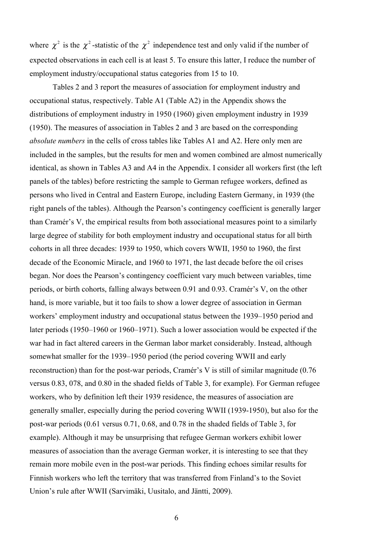where  $\chi^2$  is the  $\chi^2$ -statistic of the  $\chi^2$  independence test and only valid if the number of expected observations in each cell is at least 5. To ensure this latter, I reduce the number of employment industry/occupational status categories from 15 to 10.

Tables 2 and 3 report the measures of association for employment industry and occupational status, respectively. Table A1 (Table A2) in the Appendix shows the distributions of employment industry in 1950 (1960) given employment industry in 1939 (1950). The measures of association in Tables 2 and 3 are based on the corresponding *absolute numbers* in the cells of cross tables like Tables A1 and A2. Here only men are included in the samples, but the results for men and women combined are almost numerically identical, as shown in Tables A3 and A4 in the Appendix. I consider all workers first (the left panels of the tables) before restricting the sample to German refugee workers, defined as persons who lived in Central and Eastern Europe, including Eastern Germany, in 1939 (the right panels of the tables). Although the Pearson's contingency coefficient is generally larger than Cramér's V, the empirical results from both associational measures point to a similarly large degree of stability for both employment industry and occupational status for all birth cohorts in all three decades: 1939 to 1950, which covers WWII, 1950 to 1960, the first decade of the Economic Miracle, and 1960 to 1971, the last decade before the oil crises began. Nor does the Pearson's contingency coefficient vary much between variables, time periods, or birth cohorts, falling always between 0.91 and 0.93. Cramér's V, on the other hand, is more variable, but it too fails to show a lower degree of association in German workers' employment industry and occupational status between the 1939–1950 period and later periods (1950–1960 or 1960–1971). Such a lower association would be expected if the war had in fact altered careers in the German labor market considerably. Instead, although somewhat smaller for the 1939–1950 period (the period covering WWII and early reconstruction) than for the post-war periods, Cramér's V is still of similar magnitude (0.76 versus 0.83, 078, and 0.80 in the shaded fields of Table 3, for example). For German refugee workers, who by definition left their 1939 residence, the measures of association are generally smaller, especially during the period covering WWII (1939-1950), but also for the post-war periods (0.61 versus 0.71, 0.68, and 0.78 in the shaded fields of Table 3, for example). Although it may be unsurprising that refugee German workers exhibit lower measures of association than the average German worker, it is interesting to see that they remain more mobile even in the post-war periods. This finding echoes similar results for Finnish workers who left the territory that was transferred from Finland's to the Soviet Union's rule after WWII (Sarvimäki, Uusitalo, and Jäntti, 2009).

6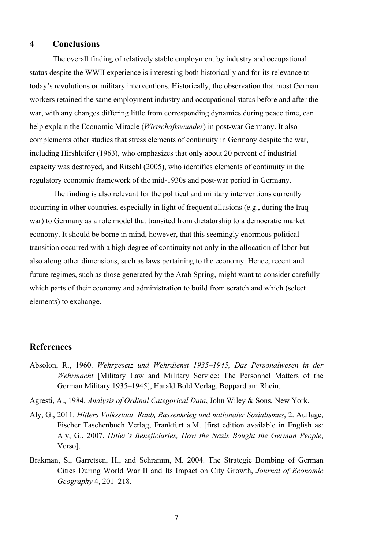### **4 Conclusions**

The overall finding of relatively stable employment by industry and occupational status despite the WWII experience is interesting both historically and for its relevance to today's revolutions or military interventions. Historically, the observation that most German workers retained the same employment industry and occupational status before and after the war, with any changes differing little from corresponding dynamics during peace time, can help explain the Economic Miracle (*Wirtschaftswunder*) in post-war Germany. It also complements other studies that stress elements of continuity in Germany despite the war, including Hirshleifer (1963), who emphasizes that only about 20 percent of industrial capacity was destroyed, and Ritschl (2005), who identifies elements of continuity in the regulatory economic framework of the mid-1930s and post-war period in Germany.

The finding is also relevant for the political and military interventions currently occurring in other countries, especially in light of frequent allusions (e.g., during the Iraq war) to Germany as a role model that transited from dictatorship to a democratic market economy. It should be borne in mind, however, that this seemingly enormous political transition occurred with a high degree of continuity not only in the allocation of labor but also along other dimensions, such as laws pertaining to the economy. Hence, recent and future regimes, such as those generated by the Arab Spring, might want to consider carefully which parts of their economy and administration to build from scratch and which (select elements) to exchange.

#### **References**

- Absolon, R., 1960. *Wehrgesetz und Wehrdienst 1935–1945, Das Personalwesen in der Wehrmacht* [Military Law and Military Service: The Personnel Matters of the German Military 1935–1945], Harald Bold Verlag, Boppard am Rhein.
- Agresti, A., 1984. *Analysis of Ordinal Categorical Data*, John Wiley & Sons, New York.
- Aly, G., 2011. *Hitlers Volksstaat, Raub, Rassenkrieg und nationaler Sozialismus*, 2. Auflage, Fischer Taschenbuch Verlag, Frankfurt a.M. [first edition available in English as: Aly, G., 2007. *Hitler's Beneficiaries, How the Nazis Bought the German People*, Verso].
- Brakman, S., Garretsen, H., and Schramm, M. 2004. The Strategic Bombing of German Cities During World War II and Its Impact on City Growth, *Journal of Economic Geography* 4, 201–218.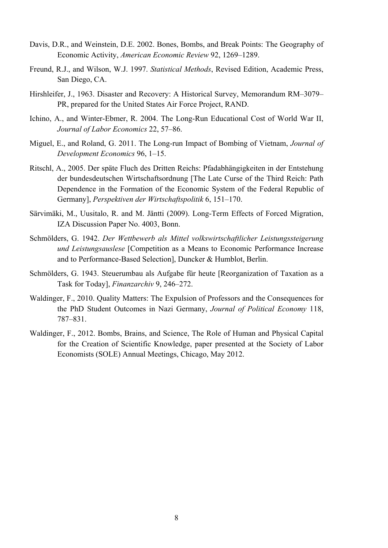- Davis, D.R., and Weinstein, D.E. 2002. Bones, Bombs, and Break Points: The Geography of Economic Activity, *American Economic Review* 92, 1269–1289.
- Freund, R.J., and Wilson, W.J. 1997. *Statistical Methods*, Revised Edition, Academic Press, San Diego, CA.
- Hirshleifer, J., 1963. Disaster and Recovery: A Historical Survey, Memorandum RM–3079– PR, prepared for the United States Air Force Project, RAND.
- Ichino, A., and Winter-Ebmer, R. 2004. The Long-Run Educational Cost of World War II, *Journal of Labor Economics* 22, 57–86.
- Miguel, E., and Roland, G. 2011. The Long-run Impact of Bombing of Vietnam, *Journal of Development Economics* 96, 1–15.
- Ritschl, A., 2005. Der späte Fluch des Dritten Reichs: Pfadabhängigkeiten in der Entstehung der bundesdeutschen Wirtschaftsordnung [The Late Curse of the Third Reich: Path Dependence in the Formation of the Economic System of the Federal Republic of Germany], *Perspektiven der Wirtschaftspolitik* 6, 151–170.
- Särvimäki, M., Uusitalo, R. and M. Jäntti (2009). Long-Term Effects of Forced Migration, IZA Discussion Paper No. 4003, Bonn.
- Schmölders, G. 1942. *Der Wettbewerb als Mittel volkswirtschaftlicher Leistungssteigerung und Leistungsauslese* [Competition as a Means to Economic Performance Increase and to Performance-Based Selection], Duncker & Humblot, Berlin.
- Schmölders, G. 1943. Steuerumbau als Aufgabe für heute [Reorganization of Taxation as a Task for Today], *Finanzarchiv* 9, 246–272.
- Waldinger, F., 2010. Quality Matters: The Expulsion of Professors and the Consequences for the PhD Student Outcomes in Nazi Germany, *Journal of Political Economy* 118, 787–831.
- Waldinger, F., 2012. Bombs, Brains, and Science, The Role of Human and Physical Capital for the Creation of Scientific Knowledge, paper presented at the Society of Labor Economists (SOLE) Annual Meetings, Chicago, May 2012.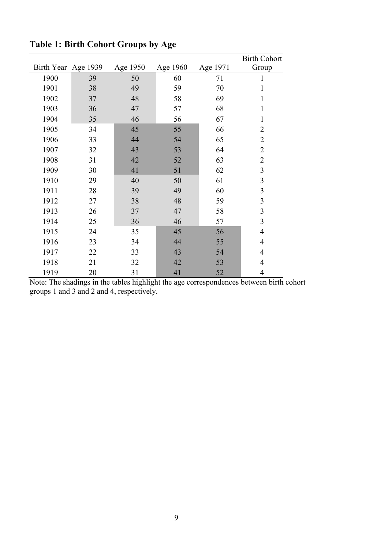|                     |    |          |          |          | <b>Birth Cohort</b> |
|---------------------|----|----------|----------|----------|---------------------|
| Birth Year Age 1939 |    | Age 1950 | Age 1960 | Age 1971 | Group               |
| 1900                | 39 | 50       | 60       | 71       | 1                   |
| 1901                | 38 | 49       | 59       | 70       | $\mathbf{1}$        |
| 1902                | 37 | 48       | 58       | 69       | 1                   |
| 1903                | 36 | 47       | 57       | 68       | $\mathbf{1}$        |
| 1904                | 35 | 46       | 56       | 67       | $\mathbf{1}$        |
| 1905                | 34 | 45       | 55       | 66       | $\overline{2}$      |
| 1906                | 33 | 44       | 54       | 65       | $\overline{2}$      |
| 1907                | 32 | 43       | 53       | 64       | $\overline{2}$      |
| 1908                | 31 | 42       | 52       | 63       | $\overline{2}$      |
| 1909                | 30 | 41       | 51       | 62       | $\overline{3}$      |
| 1910                | 29 | 40       | 50       | 61       | 3                   |
| 1911                | 28 | 39       | 49       | 60       | 3                   |
| 1912                | 27 | 38       | 48       | 59       | $\overline{3}$      |
| 1913                | 26 | 37       | 47       | 58       | 3                   |
| 1914                | 25 | 36       | 46       | 57       | $\mathfrak{Z}$      |
| 1915                | 24 | 35       | 45       | 56       | $\overline{4}$      |
| 1916                | 23 | 34       | 44       | 55       | $\overline{4}$      |
| 1917                | 22 | 33       | 43       | 54       | $\overline{4}$      |
| 1918                | 21 | 32       | 42       | 53       | $\overline{4}$      |
| 1919                | 20 | 31       | 41       | 52       | $\overline{4}$      |

**Table 1: Birth Cohort Groups by Age**

Note: The shadings in the tables highlight the age correspondences between birth cohort groups 1 and 3 and 2 and 4, respectively.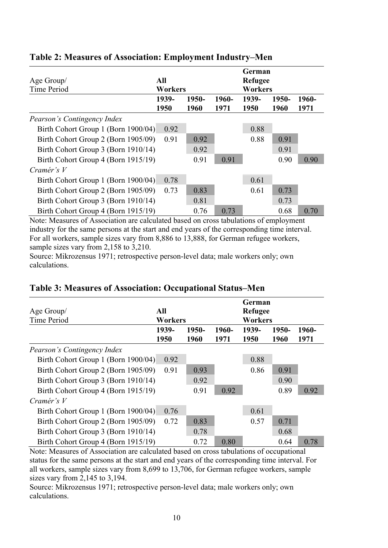| Age Group/<br>Time Period           | All<br><b>Workers</b> |               |               | German<br><b>Refugee</b><br><b>Workers</b> |               |               |
|-------------------------------------|-----------------------|---------------|---------------|--------------------------------------------|---------------|---------------|
|                                     | 1939-<br>1950         | 1950-<br>1960 | 1960-<br>1971 | 1939-<br>1950                              | 1950-<br>1960 | 1960-<br>1971 |
| Pearson's Contingency Index         |                       |               |               |                                            |               |               |
| Birth Cohort Group 1 (Born 1900/04) | 0.92                  |               |               | 0.88                                       |               |               |
| Birth Cohort Group 2 (Born 1905/09) | 0.91                  | 0.92          |               | 0.88                                       | 0.91          |               |
| Birth Cohort Group 3 (Born 1910/14) |                       | 0.92          |               |                                            | 0.91          |               |
| Birth Cohort Group 4 (Born 1915/19) |                       | 0.91          | 0.91          |                                            | 0.90          | 0.90          |
| Cramér's $V$                        |                       |               |               |                                            |               |               |
| Birth Cohort Group 1 (Born 1900/04) | 0.78                  |               |               | 0.61                                       |               |               |
| Birth Cohort Group 2 (Born 1905/09) | 0.73                  | 0.83          |               | 0.61                                       | 0.73          |               |
| Birth Cohort Group 3 (Born 1910/14) |                       | 0.81          |               |                                            | 0.73          |               |
| Birth Cohort Group 4 (Born 1915/19) |                       | 0.76          | 0.73          |                                            | 0.68          | 0.70          |

### **Table 2: Measures of Association: Employment Industry–Men**

Note: Measures of Association are calculated based on cross tabulations of employment industry for the same persons at the start and end years of the corresponding time interval. For all workers, sample sizes vary from 8,886 to 13,888, for German refugee workers, sample sizes vary from 2,158 to 3,210.

Source: Mikrozensus 1971; retrospective person-level data; male workers only; own calculations.

| Age Group/<br>Time Period           | All<br><b>Workers</b> |               |               | German<br><b>Refugee</b><br><b>Workers</b> |               |               |
|-------------------------------------|-----------------------|---------------|---------------|--------------------------------------------|---------------|---------------|
|                                     | 1939-<br>1950         | 1950-<br>1960 | 1960-<br>1971 | 1939-<br>1950                              | 1950-<br>1960 | 1960-<br>1971 |
| Pearson's Contingency Index         |                       |               |               |                                            |               |               |
| Birth Cohort Group 1 (Born 1900/04) | 0.92                  |               |               | 0.88                                       |               |               |
| Birth Cohort Group 2 (Born 1905/09) | 0.91                  | 0.93          |               | 0.86                                       | 0.91          |               |
| Birth Cohort Group 3 (Born 1910/14) |                       | 0.92          |               |                                            | 0.90          |               |
| Birth Cohort Group 4 (Born 1915/19) |                       | 0.91          | 0.92          |                                            | 0.89          | 0.92          |
| Cramér's $V$                        |                       |               |               |                                            |               |               |
| Birth Cohort Group 1 (Born 1900/04) | 0.76                  |               |               | 0.61                                       |               |               |
| Birth Cohort Group 2 (Born 1905/09) | 0.72                  | 0.83          |               | 0.57                                       | 0.71          |               |
| Birth Cohort Group 3 (Born 1910/14) |                       | 0.78          |               |                                            | 0.68          |               |
| Birth Cohort Group 4 (Born 1915/19) |                       | 0.72          | 0.80          |                                            | 0.64          | 0.78          |

### **Table 3: Measures of Association: Occupational Status–Men**

Note: Measures of Association are calculated based on cross tabulations of occupational status for the same persons at the start and end years of the corresponding time interval. For all workers, sample sizes vary from 8,699 to 13,706, for German refugee workers, sample sizes vary from 2,145 to 3,194.

Source: Mikrozensus 1971; retrospective person-level data; male workers only; own calculations.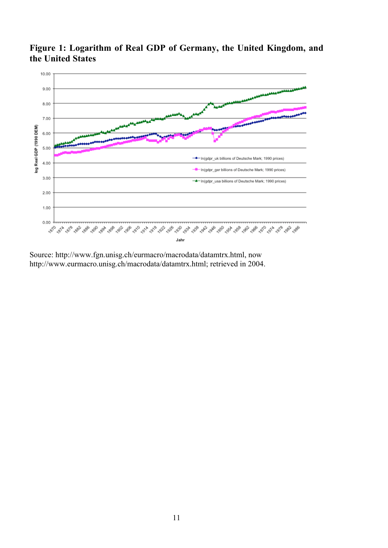

**Figure 1: Logarithm of Real GDP of Germany, the United Kingdom, and the United States**

Source: http://www.fgn.unisg.ch/eurmacro/macrodata/datamtrx.html, now http://www.eurmacro.unisg.ch/macrodata/datamtrx.html; retrieved in 2004.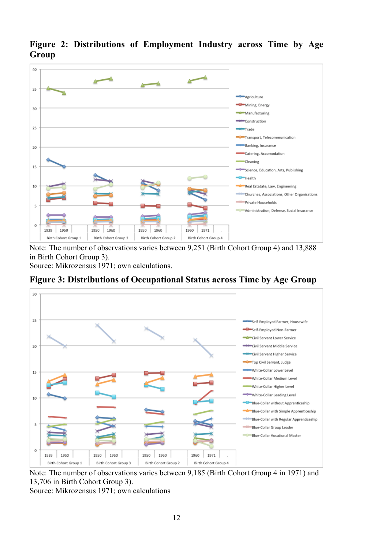

**Figure 2: Distributions of Employment Industry across Time by Age Group**

Note: The number of observations varies between 9,251 (Birth Cohort Group 4) and 13,888 in Birth Cohort Group 3).

Source: Mikrozensus 1971; own calculations.





Note: The number of observations varies between 9,185 (Birth Cohort Group 4 in 1971) and 13,706 in Birth Cohort Group 3).

Source: Mikrozensus 1971; own calculations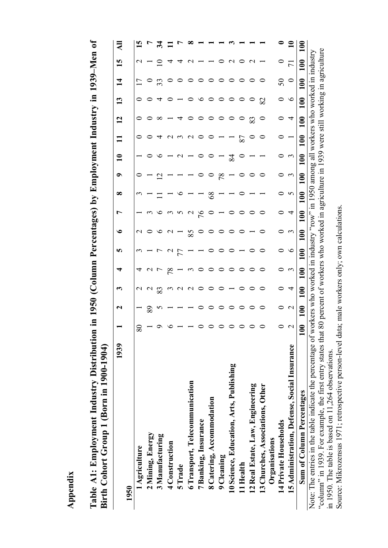**Table A1: Employment Industry Distribution in 1950 (Column Percentages) by Employment Industry in 1939–Men of**  Table A1: Employment Industry Distribution in 1950 (Column Percentages) by Employment Industry in 1939-Men of Birth Cohort Group 1 (Born in 1900-1904) **Birth Cohort Group 1 (Born in 1900-1904)**

| 1939                                                                                                                                                                 |                   | $\mathbf{\mathsf{u}}$ | ొ               | ਚ                | n       | ७                                               | L                 | ∞                                                | ๑                        | $\mathbf{u}$ | $\overline{\phantom{0}}$ | $\mathbf{12}$    | $\mathbf{13}$    | $\mathbf{1}$ | 15                     | ₹              |
|----------------------------------------------------------------------------------------------------------------------------------------------------------------------|-------------------|-----------------------|-----------------|------------------|---------|-------------------------------------------------|-------------------|--------------------------------------------------|--------------------------|--------------|--------------------------|------------------|------------------|--------------|------------------------|----------------|
| 1950                                                                                                                                                                 |                   |                       |                 |                  |         |                                                 |                   |                                                  |                          |              |                          |                  |                  |              |                        |                |
| 1 Agriculture                                                                                                                                                        | ୪                 |                       | $\sim$          | ₹                |         | $\sim$                                          |                   |                                                  |                          |              |                          |                  |                  |              | $\mathsf{\sim}$        |                |
| 2 Mining, Energy                                                                                                                                                     |                   | 89                    | $\sim$          |                  |         |                                                 |                   |                                                  |                          |              |                          |                  |                  |              |                        |                |
| 3 Manufacturing                                                                                                                                                      |                   |                       | 83              |                  |         |                                                 |                   |                                                  | $\overline{\mathcal{C}}$ |              |                          | $\infty$         |                  |              |                        |                |
| 4 Construction                                                                                                                                                       |                   |                       |                 | 78               |         |                                                 |                   |                                                  |                          |              |                          |                  |                  |              |                        |                |
| 5Trade                                                                                                                                                               |                   |                       |                 |                  | 77      |                                                 | $\omega$ $\omega$ |                                                  |                          |              |                          | ₹                |                  |              |                        |                |
| 6 Transport, Telecommunication                                                                                                                                       |                   |                       | $\sim$          | $\sim$           |         | 85                                              | $\sim$            |                                                  |                          |              | $\sim$                   |                  |                  |              |                        |                |
| 7 Banking, Insurance                                                                                                                                                 |                   |                       |                 |                  |         |                                                 | 97                |                                                  |                          |              |                          |                  |                  |              |                        |                |
| 8 Catering, Accommodation                                                                                                                                            |                   |                       |                 |                  | ᅌ       |                                                 |                   | $\rm{8}$                                         |                          |              |                          |                  |                  |              |                        |                |
| 9 Cleaning                                                                                                                                                           |                   |                       |                 |                  |         |                                                 |                   |                                                  | 78                       |              |                          |                  |                  | 0            |                        |                |
| 10 Science, Education, Arts, Publishing                                                                                                                              |                   |                       |                 |                  |         |                                                 |                   |                                                  |                          | 84           |                          |                  |                  |              | $\sim$                 |                |
| 11 Health                                                                                                                                                            |                   |                       |                 |                  |         |                                                 |                   |                                                  |                          |              | 78                       | $\circ$          |                  |              | ᅌ                      |                |
| 12 Real Estate, Law, Engineering                                                                                                                                     |                   |                       |                 |                  |         |                                                 |                   |                                                  |                          |              |                          | 83               |                  |              | $\mathbf{\sim}$        |                |
| 13 Churches, Associations, Other                                                                                                                                     |                   |                       |                 |                  |         |                                                 |                   |                                                  |                          |              |                          |                  | 82               |              |                        |                |
| Organisations                                                                                                                                                        |                   |                       |                 |                  |         |                                                 |                   |                                                  |                          |              |                          |                  |                  |              |                        |                |
| 14 Private Households                                                                                                                                                |                   |                       | っ               |                  | 0       |                                                 | っ                 |                                                  | $\circ$                  |              |                          | 0                |                  | 50           | $\circ$                |                |
| 15 Administration, Defense, Social Insurance                                                                                                                         |                   | $\mathbf{C}$          | 4               | $\epsilon$       | $\circ$ | $\epsilon$                                      | 4                 | S                                                | $\mathfrak{c}$           | $\epsilon$   |                          | 4                | $\circ$          | $\circ$      | $\overline{7}$         | $\mathbf{\Xi}$ |
| Sum of Column Percentages                                                                                                                                            | $\frac{100}{100}$ | $\overline{100}$      | $\frac{1}{100}$ | $\overline{100}$ | 100     | $\overline{100}$                                | $\frac{100}{100}$ | $\frac{100}{100}$                                | $\overline{100}$         | 100          | 100                      | $\overline{100}$ | $\overline{100}$ | 100          | $\frac{100}{100}$      | $\Xi$          |
| Note: The entries in the table indicate the percentage of workers who worked in industry "row"<br>"column" in 1939. For example the first entry states that $\delta$ |                   |                       |                 |                  |         | nercent of workers who worked in agriculture in |                   | in 1950 among all workers who worked in industry |                          |              | $1939$ were still        |                  |                  |              | working in agriculture |                |
|                                                                                                                                                                      |                   |                       |                 |                  |         |                                                 |                   |                                                  |                          |              |                          |                  |                  |              |                        |                |

"column" in 1939. For example, the first entry states that 80 percent of workers who worked in agriculture in 1939 were still working in agriculture Note: The entries in the table indicate the percentage of workers who worked in industry "row" in "column" in 1939. For example, the first entry states that 80 percent of workers who worked in agrie 1950. The table is base in 1950. The table is based on 11,264 observations.

Source: Mikrozensus 1971; retrospective person-level data; male workers only; own calculations.

 $\overline{\phantom{0}}$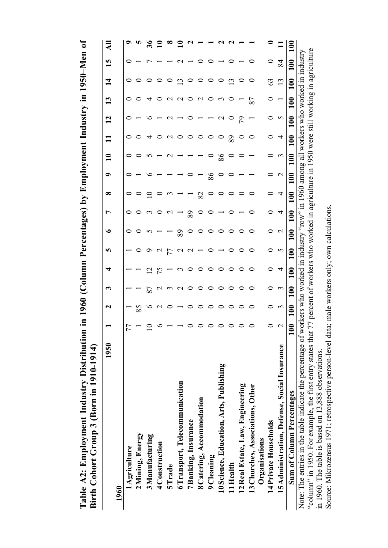| Table A2: Employment Industry Distribution<br>Birth Cohort Group 3 (Born in 1910-1914)                                                                                           |                   | in 1960               |                | (Column                                                                                                     |                  | Percentages)      |     | $\tilde{\mathbf{z}}$ |                   |                | Employment Industry in |                       |                |     | 1950-Men                                                                 | $\mathfrak{b}$ |
|----------------------------------------------------------------------------------------------------------------------------------------------------------------------------------|-------------------|-----------------------|----------------|-------------------------------------------------------------------------------------------------------------|------------------|-------------------|-----|----------------------|-------------------|----------------|------------------------|-----------------------|----------------|-----|--------------------------------------------------------------------------|----------------|
| 1950                                                                                                                                                                             |                   | $\mathbf{\mathsf{N}}$ | ొ              | ₹                                                                                                           | n                | ৩                 | r   | ∞                    | ๑                 | $\mathbf{\Xi}$ |                        | $\mathbf{\mathsf{N}}$ | $\mathbf{13}$  | 4   | 15                                                                       | ₹              |
| 1960                                                                                                                                                                             |                   |                       |                |                                                                                                             |                  |                   |     |                      |                   |                |                        |                       |                |     |                                                                          |                |
| 1 Agriculture                                                                                                                                                                    |                   |                       |                |                                                                                                             |                  |                   |     |                      |                   |                |                        |                       |                |     |                                                                          |                |
| 2 Mining, Energy                                                                                                                                                                 |                   | 85                    |                |                                                                                                             |                  |                   |     |                      |                   |                |                        |                       |                |     |                                                                          |                |
| 3 Manufacturing                                                                                                                                                                  |                   | ∘                     | 78             | $\overline{\mathcal{C}}$                                                                                    |                  |                   |     |                      |                   |                |                        |                       |                |     |                                                                          | ಹೆ             |
| 4 Construction                                                                                                                                                                   |                   |                       |                |                                                                                                             |                  |                   |     |                      |                   |                |                        |                       |                |     |                                                                          |                |
| 5 Trade                                                                                                                                                                          |                   |                       |                |                                                                                                             |                  |                   |     |                      |                   |                | ◠                      |                       |                |     |                                                                          |                |
| 6 Transport, Telecommunication                                                                                                                                                   |                   |                       |                |                                                                                                             |                  | 89                |     |                      |                   |                |                        |                       |                | نب  |                                                                          |                |
| 7 Banking, Insurance                                                                                                                                                             |                   |                       |                |                                                                                                             | $\mathbf \sigma$ |                   | 89  |                      |                   |                |                        |                       | 0              |     |                                                                          |                |
| 8 Catering, Accommodation                                                                                                                                                        |                   |                       |                |                                                                                                             |                  |                   |     | 82                   |                   |                |                        |                       | $\sim$         |     |                                                                          |                |
| 9 Cleaning                                                                                                                                                                       |                   |                       |                |                                                                                                             |                  |                   |     |                      | 86                | 0              | ○                      |                       |                |     |                                                                          |                |
| 10 Science, Education, Arts, Publishing                                                                                                                                          |                   |                       |                |                                                                                                             |                  |                   |     |                      |                   | 86             | $\circ$                |                       | $\mathfrak{c}$ |     |                                                                          |                |
| 11 Health                                                                                                                                                                        |                   |                       |                |                                                                                                             |                  |                   |     |                      |                   |                | 89                     | $\circ$               |                | نب  |                                                                          |                |
| 12 Real Estate, Law, Engineering                                                                                                                                                 |                   |                       |                |                                                                                                             |                  |                   |     |                      |                   |                |                        | 56                    |                |     |                                                                          |                |
| 13 Churches, Associations, Other                                                                                                                                                 |                   |                       |                |                                                                                                             |                  |                   |     |                      |                   |                |                        |                       | 87             |     | 0                                                                        |                |
| Organisations                                                                                                                                                                    |                   |                       |                |                                                                                                             |                  |                   |     |                      |                   |                |                        |                       |                |     |                                                                          |                |
| 14 Private Households                                                                                                                                                            | 0                 | 0                     | 0              | 0                                                                                                           |                  | 0                 | 0   |                      | 0                 |                | 0                      | 0                     |                | 63  | 0                                                                        |                |
| 15 Administration, Defense, Social Insurance                                                                                                                                     | $\mathbf{\Omega}$ | $\epsilon$            | $\mathfrak{c}$ | 4                                                                                                           | S                | $\mathbf{\Omega}$ | 4   | 4                    | $\mathbf{\Omega}$ | $\mathfrak{c}$ | 4                      | 5                     |                | 13  | 84                                                                       |                |
| Sum of Column Percentages                                                                                                                                                        | $\mathbf{C}$<br>≡ | 100                   | 100            | 100                                                                                                         | 100              | $\frac{1}{100}$   | 100 | 100                  | 100               | $\mathbf{100}$ | $\mathbf{100}$         | 100                   | 100            | 100 | $\mathbf{0}$                                                             | $\mathbf{100}$ |
| Note: The entries in the table indicate the percentage of w<br>"column" in 1950. For example, the first entry states that<br>in 1960. The table is based on 13,888 observations. |                   |                       |                | orkers who worked in industry "row" in 1960 among all<br>77 percent of workers who worked in agriculture in |                  |                   |     |                      |                   |                |                        |                       |                |     | 1950 were still working in agriculture<br>workers who worked in industry |                |
| Source: Mikrozensus 1971; retrospective person-level data; male workers only; own calculations                                                                                   |                   |                       |                |                                                                                                             |                  |                   |     |                      |                   |                |                        |                       |                |     |                                                                          |                |

 $\epsilon$